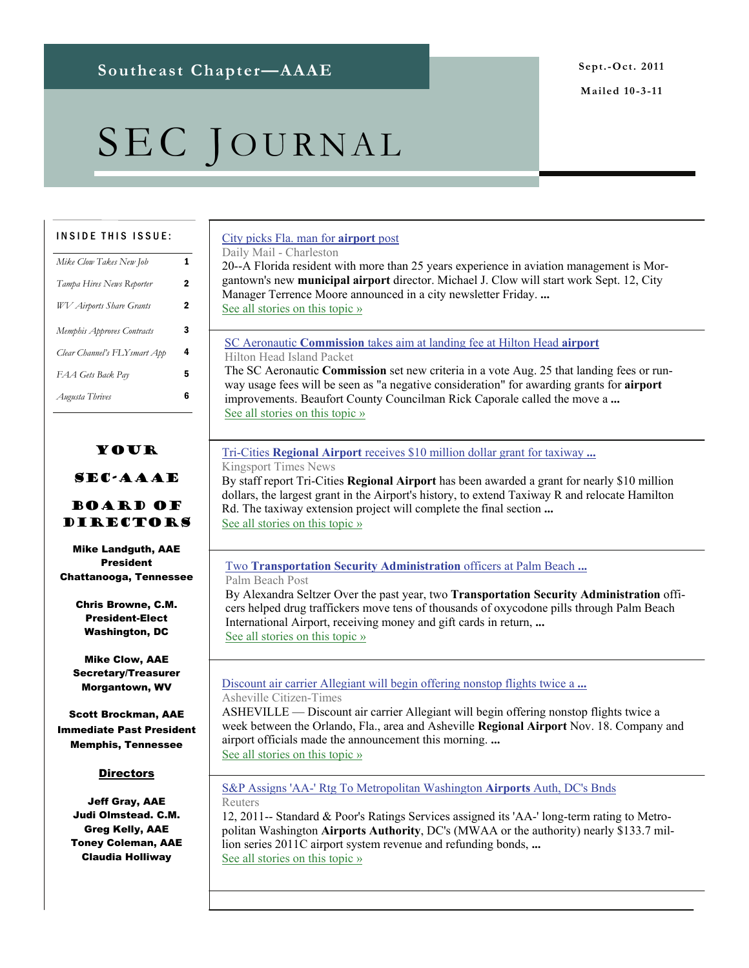**Mailed 10-3-11** 

# SEC JOURNAL

#### INSIDE THIS ISSUE:

| Mike Clow Takes New Job         | 1 |
|---------------------------------|---|
| Tampa Hires News Reporter       | 2 |
| <b>WV</b> Airports Share Grants | 2 |
| Memphis Approves Contracts      | 3 |
| Clear Channel's FLY smart App   | 4 |
| FAA Gets Back Pay               | 5 |
| Augusta Thrives                 | 6 |
|                                 |   |

### Your

#### SEC-AAAE

#### Board of Directors

Mike Landguth, AAE President Chattanooga, Tennessee

> Chris Browne, C.M. President-Elect Washington, DC

Mike Clow, AAE Secretary/Treasurer Morgantown, WV

Scott Brockman, AAE Immediate Past President Memphis, Tennessee

#### **Directors**

Jeff Gray, AAE Judi Olmstead. C.M. Greg Kelly, AAE Toney Coleman, AAE Claudia Holliway

### [City picks Fla. man for](http://www.google.com/url?sa=X&q=http://www.dailymail.com/ap/ApTopStories/201108200353&ct=ga&cad=CAEQARgAIAAoATAAOABA7cO-8gRIAVAAWABiAmVu&cd=_If8sF3PER0&usg=AFQjCNHaDSjOzDlbe3rCfoqIeXyp-pAj0Q) **airport** post

Daily Mail - Charleston

20--A Florida resident with more than 25 years experience in aviation management is Morgantown's new **municipal airport** director. Michael J. Clow will start work Sept. 12, City Manager Terrence Moore announced in a city newsletter Friday. **...** [See all stories on this topic »](http://www.google.com/url?sa=X&q=http://news.google.com/news/story%3Fncl%3Dhttp://www.dailymail.com/ap/ApTopStories/201108200353%26hl%3Den%26geo%3Dus&ct=ga&cad=CAEQARgAIAAoBjAAOABA7cO-8gRIAVAAWABiAmVu&cd=_If8sF3PER0&usg=AFQjCNGjjkHdgLdFjicU_Ap4NeYORGzo5g)

SC Aeronautic **Commission** [takes aim at landing fee at Hilton Head](http://www.google.com/url?sa=X&q=http://www.islandpacket.com/2011/10/03/1814417/sc-aeronautic-commission-takes.html&ct=ga&cad=CAEQAhgAIAAoATAAOABAn9il9ARIAVAAWABiAmVu&cd=MIpTqkLoxCI&usg=AFQjCNHKKNVAMPJAxi_51TLSHxrvA-PRzQ) **airport** Hilton Head Island Packet

The SC Aeronautic **Commission** set new criteria in a vote Aug. 25 that landing fees or runway usage fees will be seen as "a negative consideration" for awarding grants for **airport** improvements. Beaufort County Councilman Rick Caporale called the move a **...** [See all stories on this topic »](http://www.google.com/url?sa=X&q=http://news.google.com/news/story%3Fncl%3Dhttp://www.islandpacket.com/2011/10/03/1814417/sc-aeronautic-commission-takes.html%26hl%3Den%26geo%3Dus&ct=ga&cad=CAEQAhgAIAAoBjAAOABAn9il9ARIAVAAWABiAmVu&cd=MIpTqkLoxCI&usg=AFQjCNEtPR8U38Tk7hl2Tkcm5uhSI3doHA)

### Tri-Cities **Regional Airport** [receives \\$10 million dollar grant for taxiway](http://www.google.com/url?sa=X&q=http://www.timesnews.net/article/9035825/tri-cities-regional-airport-receives-10-million-dollar-grant-for-taxiway-extension&ct=ga&cad=CAEQARgAIAAoATAAOABAzMrD8wRIAVAAWABiAmVu&cd=z3Hivwcr15U&usg=AFQjCNFz9Qt5LDn0R6Qb310JPSQrPsMfTg) **...**

Kingsport Times News

By staff report Tri-Cities **Regional Airport** has been awarded a grant for nearly \$10 million dollars, the largest grant in the Airport's history, to extend Taxiway R and relocate Hamilton Rd. The taxiway extension project will complete the final section **...** [See all stories on this topic »](http://www.google.com/url?sa=X&q=http://news.google.com/news/story%3Fncl%3Dhttp://www.timesnews.net/article/9035825/tri-cities-regional-airport-receives-10-million-dollar-grant-for-taxiway-extension%26hl%3Den%26geo%3Dus&ct=ga&cad=CAEQARgAIAAoBjAAOABAzMrD8wRIAVAAWABiAmVu&cd=z3Hivwcr15U&usg=AFQjCNF0zUi49uMPo3S_QFG9cgFsziOvrw)

#### Two **Transportation Security Administration** officers at Palm Beach **...** Palm Beach Post

By Alexandra Seltzer Over the past year, two **Transportation Security Administration** officers helped drug traffickers move tens of thousands of oxycodone pills through Palm Beach International Airport, receiving money and gift cards in return, **...** See all stories on this topic »

#### [Discount air carrier Allegiant will begin offering nonstop flights twice a](http://www.google.com/url?sa=X&q=http://www.citizen-times.com/article/20110913/NEWS/309130037/Allegiant-will-fly-nonstop-between-Asheville-Orlando%3Fodyssey%3Dtab%257Ctopnews%257Ctext%257CFrontpage&ct=ga&cad=CAEQARgAIAAoATAAOABAiZe-8wRIAVAAWABiAmVu&cd=zF8SFD96T48&usg=AFQjCNG433R_p-hvlh3Wwc-3GUeOLQULWA) **...**

Asheville Citizen-Times

ASHEVILLE — Discount air carrier Allegiant will begin offering nonstop flights twice a week between the Orlando, Fla., area and Asheville **Regional Airport** Nov. 18. Company and airport officials made the announcement this morning. **...** [See all stories on this topic »](http://www.google.com/url?sa=X&q=http://news.google.com/news/story%3Fncl%3Dhttp://www.citizen-times.com/article/20110913/NEWS/309130037/Allegiant-will-fly-nonstop-between-Asheville-Orlando%253Fodyssey%253Dtab%25257Ctopnews%25257Ctext%25257CFrontpage%26hl%3Den%26geo%3Dus&ct=ga&cad=CAEQARgAIAAoBjAAOABAiZe-8wRIAVAAWABiAmVu&cd=zF8SFD96T48&usg=AFQjCNF4wmoeZSOA_pi95rgiQYIoLnA1IQ)

#### [S&P Assigns 'AA-' Rtg To Metropolitan Washington](http://www.google.com/url?sa=X&q=http://www.reuters.com/article/2011/09/12/markets-ratings-metrowashingtonairports-idUSWNA834420110912&ct=ga&cad=CAEQARgAIAAoATAAOABAlsm68wRIAVAAWABiAmVu&cd=CYJPo_OBjrk&usg=AFQjCNGfJhblfmej6aQZYlxFZd-C5Vn0rA) **Airports** Auth, DC's Bnds Reuters

12, 2011-- Standard & Poor's Ratings Services assigned its 'AA-' long-term rating to Metropolitan Washington **Airports Authority**, DC's (MWAA or the authority) nearly \$133.7 million series 2011C airport system revenue and refunding bonds, **...** [See all stories on this topic »](http://www.google.com/url?sa=X&q=http://news.google.com/news/story%3Fncl%3Dhttp://www.reuters.com/article/2011/09/12/markets-ratings-metrowashingtonairports-idUSWNA834420110912%26hl%3Den%26geo%3Dus&ct=ga&cad=CAEQARgAIAAoBjAAOABAlsm68wRIAVAAWABiAmVu&cd=CYJPo_OBjrk&usg=AFQjCNHeLDfFPgJLR5KE0GzWgrWOSuwxsw)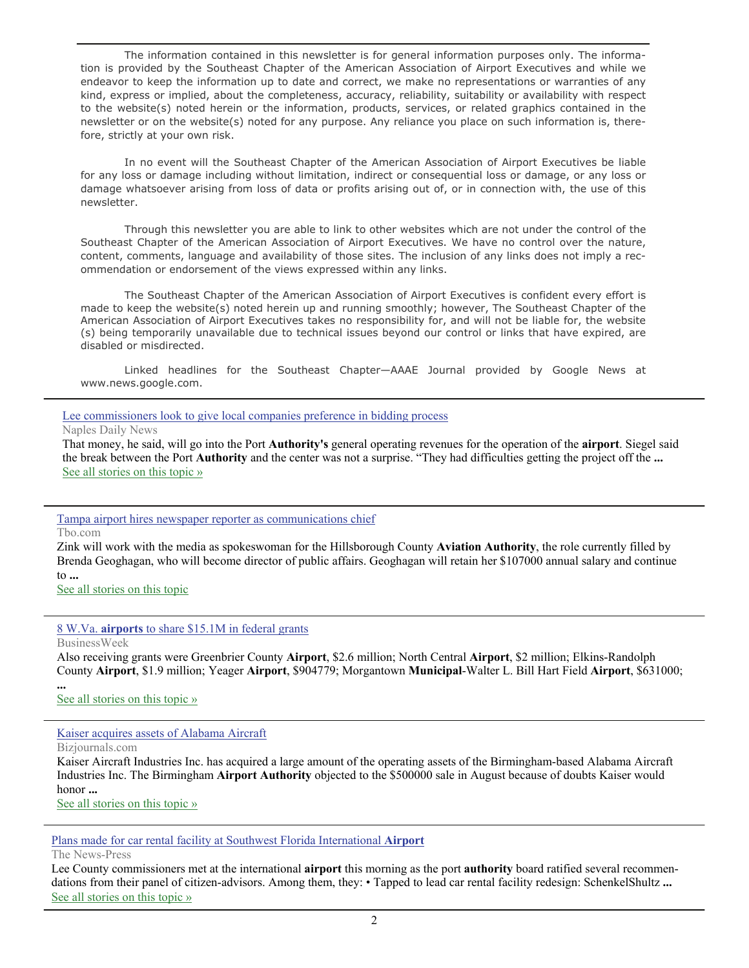The information contained in this newsletter is for general information purposes only. The information is provided by the Southeast Chapter of the American Association of Airport Executives and while we endeavor to keep the information up to date and correct, we make no representations or warranties of any kind, express or implied, about the completeness, accuracy, reliability, suitability or availability with respect to the website(s) noted herein or the information, products, services, or related graphics contained in the newsletter or on the website(s) noted for any purpose. Any reliance you place on such information is, therefore, strictly at your own risk.

 In no event will the Southeast Chapter of the American Association of Airport Executives be liable for any loss or damage including without limitation, indirect or consequential loss or damage, or any loss or damage whatsoever arising from loss of data or profits arising out of, or in connection with, the use of this newsletter.

 Through this newsletter you are able to link to other websites which are not under the control of the Southeast Chapter of the American Association of Airport Executives. We have no control over the nature, content, comments, language and availability of those sites. The inclusion of any links does not imply a recommendation or endorsement of the views expressed within any links.

 The Southeast Chapter of the American Association of Airport Executives is confident every effort is made to keep the website(s) noted herein up and running smoothly; however, The Southeast Chapter of the American Association of Airport Executives takes no responsibility for, and will not be liable for, the website (s) being temporarily unavailable due to technical issues beyond our control or links that have expired, are disabled or misdirected.

 Linked headlines for the Southeast Chapter—AAAE Journal provided by Google News at www.news.google.com.

#### [Lee commissioners look to give local companies preference in bidding process](http://www.google.com/url?sa=X&q=http://www.naplesnews.com/news/2011/sep/12/lee-commissioners-look-give-local-companies-prefer/&ct=ga&cad=CAEQARgAIAAoATABOAFAlsm68wRIAVAAWABiAmVu&cd=CYJPo_OBjrk&usg=AFQjCNG_wlGw4ZJyEQTPYIZAhOLwpSpfcQ)

#### Naples Daily News

That money, he said, will go into the Port **Authority's** general operating revenues for the operation of the **airport**. Siegel said the break between the Port **Authority** and the center was not a surprise. "They had difficulties getting the project off the **...** [See all stories on this topic »](http://www.google.com/url?sa=X&q=http://news.google.com/news/story%3Fncl%3Dhttp://www.naplesnews.com/news/2011/sep/12/lee-commissioners-look-give-local-companies-prefer/%26hl%3Den%26geo%3Dus&ct=ga&cad=CAEQARgAIAAoBjABOAFAlsm68wRIAVAAWABiAmVu&cd=CYJPo_OBjrk&usg=AFQjCNEEpHzm8nrsf_PglHt_Ye9Dwavx1g)

#### [Tampa airport hires newspaper reporter as communications chief](http://www.google.com/url?sa=X&q=http://www2.tbo.com/news/politics/2011/sep/13/menewso6-tampa-airport-hires-newspaper-reporter-as-ar-257330/&ct=ga&cad=CAEQAhgAIAAoATAAOABAwYa98wRIAVAAWABiAmVu&cd=G1nLArM5cLk&usg=AFQjCNHAGwr1xA5yfE2oK9-EeQiKaN8cGg)

Tbo.com

Zink will work with the media as spokeswoman for the Hillsborough County **Aviation Authority**, the role currently filled by Brenda Geoghagan, who will become director of public affairs. Geoghagan will retain her \$107000 annual salary and continue to **...**

[See all stories on this topic](http://www.google.com/url?sa=X&q=http://news.google.com/news/story%3Fncl%3Dhttp://www2.tbo.com/news/politics/2011/sep/13/menewso6-tampa-airport-hires-newspaper-reporter-as-ar-257330/%26hl%3Den%26geo%3Dus&ct=ga&cad=CAEQAhgAIAAoBjAAOABAwYa98wRIAVAAWABiAmVu&cd=G1nLArM5cLk&usg=AFQjCNHFSrqQd0T9RG1oBFL5o09b7Wr_Tg)

#### 8 W.Va. **airports** [to share \\$15.1M in federal grants](http://www.google.com/url?sa=X&q=http://www.businessweek.com/ap/financialnews/D9PN3V680.htm&ct=ga&cad=CAEQARgAIAAoATAAOABAupG98wRIAVAAWABiAmVu&cd=5pVeK6ZjAC0&usg=AFQjCNEPN44pWzeZ79hgZg189_eXCn_sRw)

BusinessWeek

Also receiving grants were Greenbrier County **Airport**, \$2.6 million; North Central **Airport**, \$2 million; Elkins-Randolph County **Airport**, \$1.9 million; Yeager **Airport**, \$904779; Morgantown **Municipal**-Walter L. Bill Hart Field **Airport**, \$631000;

**...** [See all stories on this topic »](http://www.google.com/url?sa=X&q=http://news.google.com/news/story%3Fncl%3Dhttp://www.businessweek.com/ap/financialnews/D9PN3V680.htm%26hl%3Den%26geo%3Dus&ct=ga&cad=CAEQARgAIAAoBjAAOABAupG98wRIAVAAWABiAmVu&cd=5pVeK6ZjAC0&usg=AFQjCNEEEdU3BrSJ5AI-cdQOyOMUb2B8eQ)

#### [Kaiser acquires assets of Alabama Aircraft](http://www.google.com/url?sa=X&q=http://www.bizjournals.com/birmingham/news/2011/09/12/kaiser-acquires-assets-of-alabama.html&ct=ga&cad=CAEQARgAIAAoATAAOABAmbG58wRIAVAAWABiAmVu&cd=wFfvxGRr8K8&usg=AFQjCNH_Eu8FTCyXpXimqATGZGLpXfUUDg)

Bizjournals.com

Kaiser Aircraft Industries Inc. has acquired a large amount of the operating assets of the Birmingham-based Alabama Aircraft Industries Inc. The Birmingham **Airport Authority** objected to the \$500000 sale in August because of doubts Kaiser would honor **...**

[See all stories on this topic »](http://www.google.com/url?sa=X&q=http://news.google.com/news/story%3Fncl%3Dhttp://www.bizjournals.com/birmingham/news/2011/09/12/kaiser-acquires-assets-of-alabama.html%26hl%3Den%26geo%3Dus&ct=ga&cad=CAEQARgAIAAoBjAAOABAmbG58wRIAVAAWABiAmVu&cd=wFfvxGRr8K8&usg=AFQjCNFlxmENwKaGACM1nU1NmGLdDQeiVQ)

#### [Plans made for car rental facility at Southwest Florida International](http://www.google.com/url?sa=X&q=http://www.news-press.com/article/20110912/BUSINESS/110912032/Plans-made-car-rental-facility-Southwest-Florida-International-Airport%3Fodyssey%3Dtab%257Ctopnews%257Ctext%257CHome&ct=ga&cad=CAEQARgAIAAoATADOANAmbG58wRIAVAAWABiAmVu&cd=wFfvxGRr8K8&usg=AFQjCNE8wYiUl8EZ5k3c9wDX28p8O2ctmw) **Airport**

The News-Press

Lee County commissioners met at the international **airport** this morning as the port **authority** board ratified several recommendations from their panel of citizen-advisors. Among them, they: • Tapped to lead car rental facility redesign: SchenkelShultz **...** [See all stories on this topic »](http://www.google.com/url?sa=X&q=http://news.google.com/news/story%3Fncl%3Dhttp://www.news-press.com/article/20110912/BUSINESS/110912032/Plans-made-car-rental-facility-Southwest-Florida-International-Airport%253Fodyssey%253Dtab%25257Ctopnews%25257Ctext%25257CHome%26hl%3Den%26geo%3Dus&ct=ga&cad=CAEQARgAIAAoBjADOANAmbG58wRIAVAAWABiAmVu&cd=wFfvxGRr8K8&usg=AFQjCNEZzppnxrc_2eAe8ROSjl7xtt7jAw)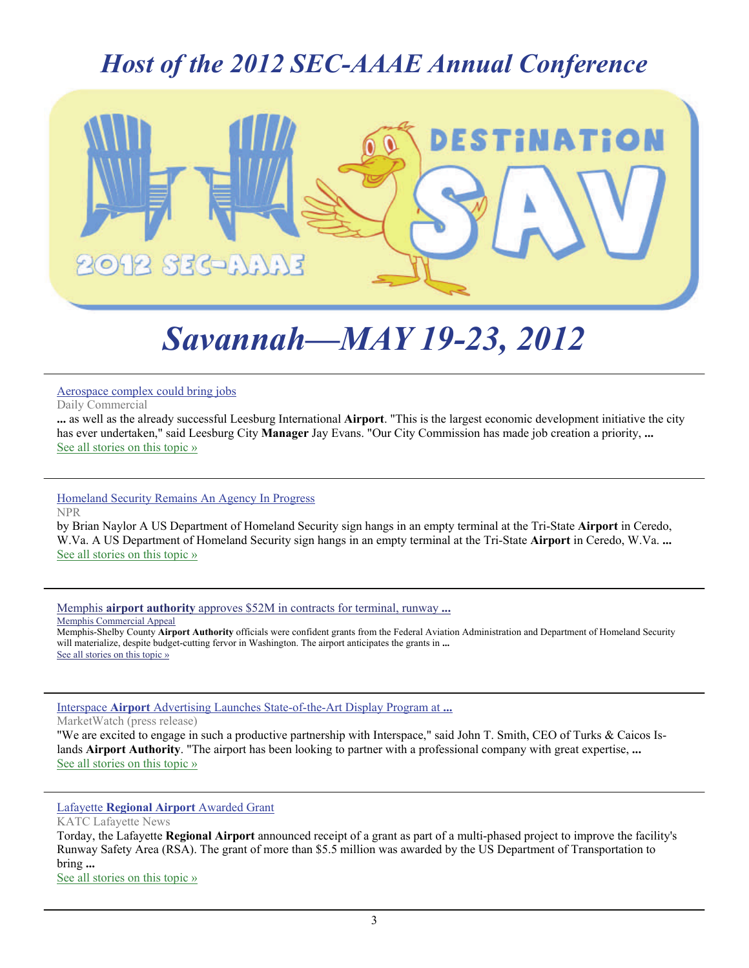## *Host of the 2012 SEC-AAAE Annual Conference*



# *Savannah—MAY 19-23, 2012*

[Aerospace complex could bring jobs](http://www.google.com/url?sa=X&q=http://www.dailycommercial.com/091011airport&ct=ga&cad=CAEQAhgAIAAoATAAOABAv7-v8wRIAVAAWABiAmVu&cd=KjtlmtdNczI&usg=AFQjCNFEguFDouJQtg-lRr-b-9u5r42D2w)

Daily Commercial

**...** as well as the already successful Leesburg International **Airport**. "This is the largest economic development initiative the city has ever undertaken," said Leesburg City **Manager** Jay Evans. "Our City Commission has made job creation a priority, **...** [See all stories on this topic »](http://www.google.com/url?sa=X&q=http://news.google.com/news/story%3Fncl%3Dhttp://www.dailycommercial.com/091011airport%26hl%3Den%26geo%3Dus&ct=ga&cad=CAEQAhgAIAAoBjAAOABAv7-v8wRIAVAAWABiAmVu&cd=KjtlmtdNczI&usg=AFQjCNFzL42m0fCsOF3HoIQrvR33pagNfg)

[Homeland Security Remains An Agency In Progress](http://www.google.com/url?sa=X&q=http://www.npr.org/2011/09/11/140367706/homeland-security-remains-an-agency-in-progress&ct=ga&cad=CAEQAhgAIAAoATAAOABA3Pm28wRIAVAAWABiAmVu&cd=V7l8iXk5_uc&usg=AFQjCNHs4wLo1PWcRcjx95crIo3f-yVOBw) NPR

by Brian Naylor A US Department of Homeland Security sign hangs in an empty terminal at the Tri-State **Airport** in Ceredo, W.Va. A US Department of Homeland Security sign hangs in an empty terminal at the Tri-State **Airport** in Ceredo, W.Va. **...** [See all stories on this topic »](http://www.google.com/url?sa=X&q=http://news.google.com/news/story%3Fncl%3Dhttp://www.npr.org/2011/09/11/140367706/homeland-security-remains-an-agency-in-progress%26hl%3Den%26geo%3Dus&ct=ga&cad=CAEQAhgAIAAoBjAAOABA3Pm28wRIAVAAWABiAmVu&cd=V7l8iXk5_uc&usg=AFQjCNEFe7odivDIWart_Op9hoQPoknhQg)

Memphis **airport authority** [approves \\$52M in contracts for terminal, runway](http://www.google.com/url?sa=X&q=http://www.commercialappeal.com/news/2011/sep/15/memphis-airport-authority-approves-52m-contracts-t/&ct=ga&cad=CAEQARgAIAAoATABOAFAoILJ8wRIAVAAWABiAmVu&cd=YWautvnJ6BQ&usg=AFQjCNEbOoV_WGyEU3NJnjzXfrRZjMal-g) **...** Memphis Commercial Appeal

Memphis-Shelby County **Airport Authority** officials were confident grants from the Federal Aviation Administration and Department of Homeland Security will materialize, despite budget-cutting fervor in Washington. The airport anticipates the grants in **...** [See all stories on this topic »](http://www.google.com/url?sa=X&q=http://news.google.com/news/story%3Fncl%3Dhttp://www.commercialappeal.com/news/2011/sep/15/memphis-airport-authority-approves-52m-contracts-t/%26hl%3Den%26geo%3Dus&ct=ga&cad=CAEQARgAIAAoBjABOAFAoILJ8wRIAVAAWABiAmVu&cd=YWautvnJ6BQ&usg=AFQjCNEHo2Owd6Xn5Cel9ft6rjm4PYKhfA)

Interspace **Airport** [Advertising Launches State-of-the-Art Display Program at](http://www.google.com/url?sa=X&q=http://www.marketwatch.com/story/interspace-airport-advertising-launches-state-of-the-art-display-program-at-turks-caicos-islands-airports-2011-09-15&ct=ga&cad=CAEQARgAIAAoATAAOABA3brI8wRIAVAAWABiAmVu&cd=Z6oPAF50sJ0&usg=AFQjCNGOPMmFiqW7DnabOgel37u0AbzKaA) **...**

MarketWatch (press release)

"We are excited to engage in such a productive partnership with Interspace," said John T. Smith, CEO of Turks & Caicos Islands **Airport Authority**. "The airport has been looking to partner with a professional company with great expertise, **...** [See all stories on this topic »](http://www.google.com/url?sa=X&q=http://news.google.com/news/story%3Fncl%3Dhttp://www.marketwatch.com/story/interspace-airport-advertising-launches-state-of-the-art-display-program-at-turks-caicos-islands-airports-2011-09-15%26hl%3Den%26geo%3Dus&ct=ga&cad=CAEQARgAIAAoBjAAOABA3brI8wRIAVAAWABiAmVu&cd=Z6oPAF50sJ0&usg=AFQjCNH5c87h6wYeDo2fS4t0PJSp_1ROIA)

#### Lafayette **[Regional Airport](http://www.google.com/url?sa=X&q=http://www.katc.com/news/lafayette-regional-airport-awarded-grant&ct=ga&cad=CAEQARgAIAAoATAAOABAlMfI8wRIAVAAWABiAmVu&cd=L16w0XW-3Ms&usg=AFQjCNEtAWq2GaBakB0Rx4EVsXsUe56WIw)** Awarded Grant

KATC Lafayette News Torday, the Lafayette **Regional Airport** announced receipt of a grant as part of a multi-phased project to improve the facility's Runway Safety Area (RSA). The grant of more than \$5.5 million was awarded by the US Department of Transportation to bring **...**

[See all stories on this topic »](http://www.google.com/url?sa=X&q=http://news.google.com/news/story%3Fncl%3Dhttp://www.katc.com/news/lafayette-regional-airport-awarded-grant%26hl%3Den%26geo%3Dus&ct=ga&cad=CAEQARgAIAAoBjAAOABAlMfI8wRIAVAAWABiAmVu&cd=L16w0XW-3Ms&usg=AFQjCNFqjUDnkLYUkBXSsFx3Fa0yq0BSLw)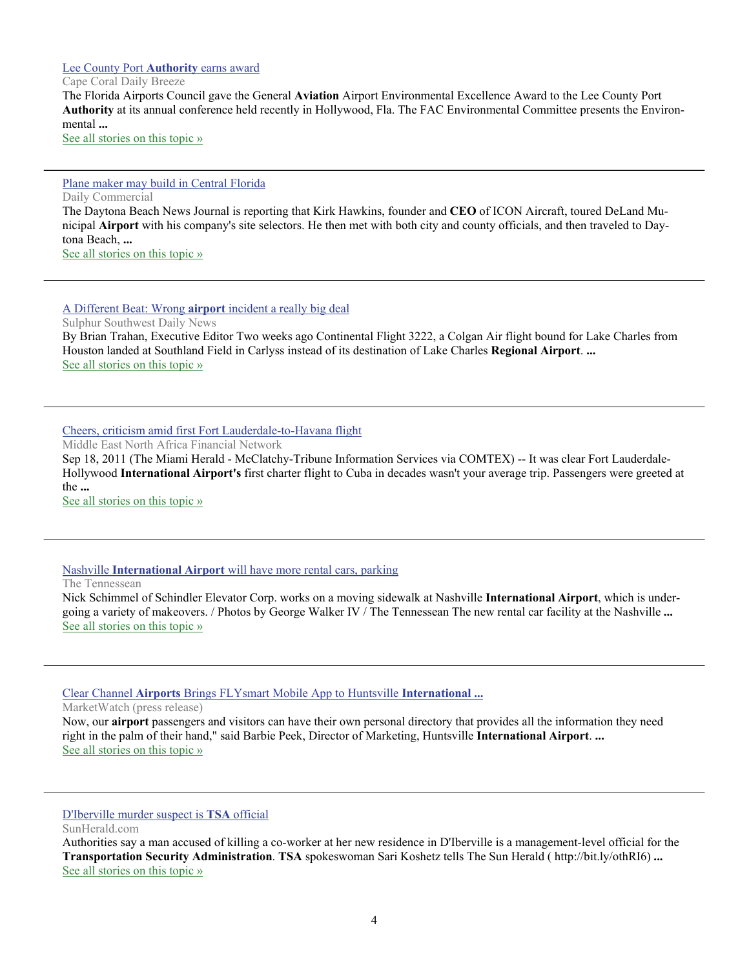#### [Lee County Port](http://www.google.com/url?sa=X&q=http://www.cape-coral-daily-breeze.com/page/content.detail/id/526673/Lee-County-Port-Authority-earns-award.html%3Fnav%3D5069&ct=ga&cad=CAEQAhgAIAAoATADOANAw-_M8wRIAVAAWABiAmVu&cd=ADFJRTmnSks&usg=AFQjCNH2yUzAcRi1JG4nfPHPwr0pWXsAZg) **Authority** earns award

#### Cape Coral Daily Breeze

The Florida Airports Council gave the General **Aviation** Airport Environmental Excellence Award to the Lee County Port **Authority** at its annual conference held recently in Hollywood, Fla. The FAC Environmental Committee presents the Environmental **...**

[See all stories on this topic »](http://www.google.com/url?sa=X&q=http://news.google.com/news/story%3Fncl%3Dhttp://www.cape-coral-daily-breeze.com/page/content.detail/id/526673/Lee-County-Port-Authority-earns-award.html%253Fnav%253D5069%26hl%3Den%26geo%3Dus&ct=ga&cad=CAEQAhgAIAAoBjADOANAw-_M8wRIAVAAWABiAmVu&cd=ADFJRTmnSks&usg=AFQjCNGUqsFi6KxJsyN7HnjNBcwn0RQCBA)

#### [Plane maker may build in Central Florida](http://www.google.com/url?sa=X&q=http://www.dailycommercial.com/localnews/story/091611ICON&ct=ga&cad=CAEQAhgAIAAoATADOANA77XV8wRIAVAAWABiAmVu&cd=niAquLmVeqI&usg=AFQjCNG9vE9fH7S1Cebru69KsgvxGcwGWw)

Daily Commercial

The Daytona Beach News Journal is reporting that Kirk Hawkins, founder and **CEO** of ICON Aircraft, toured DeLand Municipal **Airport** with his company's site selectors. He then met with both city and county officials, and then traveled to Daytona Beach, **...** [See all stories on this topic »](http://www.google.com/url?sa=X&q=http://news.google.com/news/story%3Fncl%3Dhttp://www.dailycommercial.com/localnews/story/091611ICON%26hl%3Den%26geo%3Dus&ct=ga&cad=CAEQAhgAIAAoBjADOANA77XV8wRIAVAAWABiAmVu&cd=niAquLmVeqI&usg=AFQjCNEODEufJHM_Mk-vwyUf3MnPSHVXnQ)

#### [A Different Beat: Wrong](http://www.google.com/url?sa=X&q=http://www.sulphurdailynews.com/opinions/columnists/x524583418/A-Different-Beat-Wrong-airport-incident-a-really-big-deal&ct=ga&cad=CAEQARgAIAAoATAAOABAg7_Y8wRIAVAAWABiAmVu&cd=2rrsvwWGyH0&usg=AFQjCNFiVEvNvnzFSruC-Btge7mtCXVLHw) **airport** incident a really big deal

Sulphur Southwest Daily News

By Brian Trahan, Executive Editor Two weeks ago Continental Flight 3222, a Colgan Air flight bound for Lake Charles from Houston landed at Southland Field in Carlyss instead of its destination of Lake Charles **Regional Airport**. **...** [See all stories on this topic »](http://www.google.com/url?sa=X&q=http://news.google.com/news/story%3Fncl%3Dhttp://www.sulphurdailynews.com/opinions/columnists/x524583418/A-Different-Beat-Wrong-airport-incident-a-really-big-deal%26hl%3Den%26geo%3Dus&ct=ga&cad=CAEQARgAIAAoBjAAOABAg7_Y8wRIAVAAWABiAmVu&cd=2rrsvwWGyH0&usg=AFQjCNGNPvQv5G97PixVw5jM-wBUJ1jTvw)

#### [Cheers, criticism amid first Fort Lauderdale-to-Havana flight](http://www.google.com/url?sa=X&q=http://www.menafn.com/qn_news_story.asp%3Fstoryid%3D%257Bf4ae98a3-795c-4b0f-8572-c56155d557a6%257D&ct=ga&cad=CAEQARgAIAAoATAAOABA0LvZ8wRIAVAAWABiAmVu&cd=A9Z7BvaTtKs&usg=AFQjCNGcuR3lxdu4od6PwSRBChkFKiOv5Q)

Middle East North Africa Financial Network

Sep 18, 2011 (The Miami Herald - McClatchy-Tribune Information Services via COMTEX) -- It was clear Fort Lauderdale-Hollywood **International Airport's** first charter flight to Cuba in decades wasn't your average trip. Passengers were greeted at the **...**

[See all stories on this topic »](http://www.google.com/url?sa=X&q=http://news.google.com/news/story%3Fncl%3Dhttp://www.menafn.com/qn_news_story.asp%253Fstoryid%253D%25257Bf4ae98a3-795c-4b0f-8572-c56155d557a6%25257D%26hl%3Den%26geo%3Dus&ct=ga&cad=CAEQARgAIAAoBjAAOABA0LvZ8wRIAVAAWABiAmVu&cd=A9Z7BvaTtKs&usg=AFQjCNG-w75jYUR_MjbCzFY2qfIOKVa1yw)

#### Nashville **International Airport** [will have more rental cars, parking](http://www.google.com/url?sa=X&q=http://www.tennessean.com/article/20110919/NEWS01/309190037/Nashville-International-Airport-will-have-more-rental-cars-parking&ct=ga&cad=CAEQARgAIAAoATAAOABApujb8wRIAVAAWABiAmVu&cd=kX2qcIxIlg8&usg=AFQjCNGV1sVy1XXB1rykEhRFoopZ-8jS5w)

The Tennessean

Nick Schimmel of Schindler Elevator Corp. works on a moving sidewalk at Nashville **International Airport**, which is undergoing a variety of makeovers. / Photos by George Walker IV / The Tennessean The new rental car facility at the Nashville **...** [See all stories on this topic »](http://www.google.com/url?sa=X&q=http://news.google.com/news/story%3Fncl%3Dhttp://www.tennessean.com/article/20110919/NEWS01/309190037/Nashville-International-Airport-will-have-more-rental-cars-parking%26hl%3Den%26geo%3Dus&ct=ga&cad=CAEQARgAIAAoBjAAOABApujb8wRIAVAAWABiAmVu&cd=kX2qcIxIlg8&usg=AFQjCNF7lAW2YShXFIo398d_pTKHkigXGA)

#### Clear Channel **Airports** [Brings FLYsmart Mobile App to Huntsville](http://www.google.com/url?sa=X&q=http://www.marketwatch.com/story/clear-channel-airports-brings-flysmart-mobile-app-to-huntsville-international-airport-2011-09-19&ct=ga&cad=CAEQARgAIAAoATAAOABA8bnd8wRIAVAAWABiAmVu&cd=w4V5Vni3f5c&usg=AFQjCNGi5gzklMCg1sQBam2TArn0x1yTRA) **International ...**

MarketWatch (press release)

Now, our **airport** passengers and visitors can have their own personal directory that provides all the information they need right in the palm of their hand," said Barbie Peek, Director of Marketing, Huntsville **International Airport**. **...** [See all stories on this topic »](http://www.google.com/url?sa=X&q=http://news.google.com/news/story%3Fncl%3Dhttp://www.marketwatch.com/story/clear-channel-airports-brings-flysmart-mobile-app-to-huntsville-international-airport-2011-09-19%26hl%3Den%26geo%3Dus&ct=ga&cad=CAEQARgAIAAoBjAAOABA8bnd8wRIAVAAWABiAmVu&cd=w4V5Vni3f5c&usg=AFQjCNFHnVBnoMqxFHu4x_IgtkblnB10sQ)

#### [D'Iberville murder suspect is](http://www.google.com/url?sa=X&q=http://www.sunherald.com/2011/09/22/3450242/diberville-murder-suspect-is-tsa.html&ct=ga&cad=CAEQARgAIAAoATAAOABAs6Ds8wRIAVAAWABiAmVu&cd=GcuLop0pHg4&usg=AFQjCNE9NkaARcuYfiXavgkjyGUF7xk0-g) **TSA** official

SunHerald.com

Authorities say a man accused of killing a co-worker at her new residence in D'Iberville is a management-level official for the **Transportation Security Administration**. **TSA** spokeswoman Sari Koshetz tells The Sun Herald ( http://bit.ly/othRI6) **...** [See all stories on this topic »](http://www.google.com/url?sa=X&q=http://news.google.com/news/story%3Fncl%3Dhttp://www.sunherald.com/2011/09/22/3450242/diberville-murder-suspect-is-tsa.html%26hl%3Den%26geo%3Dus&ct=ga&cad=CAEQARgAIAAoBjAAOABAs6Ds8wRIAVAAWABiAmVu&cd=GcuLop0pHg4&usg=AFQjCNEE1pHDFlJVfD6CYLbkAF9Cn5ebhw)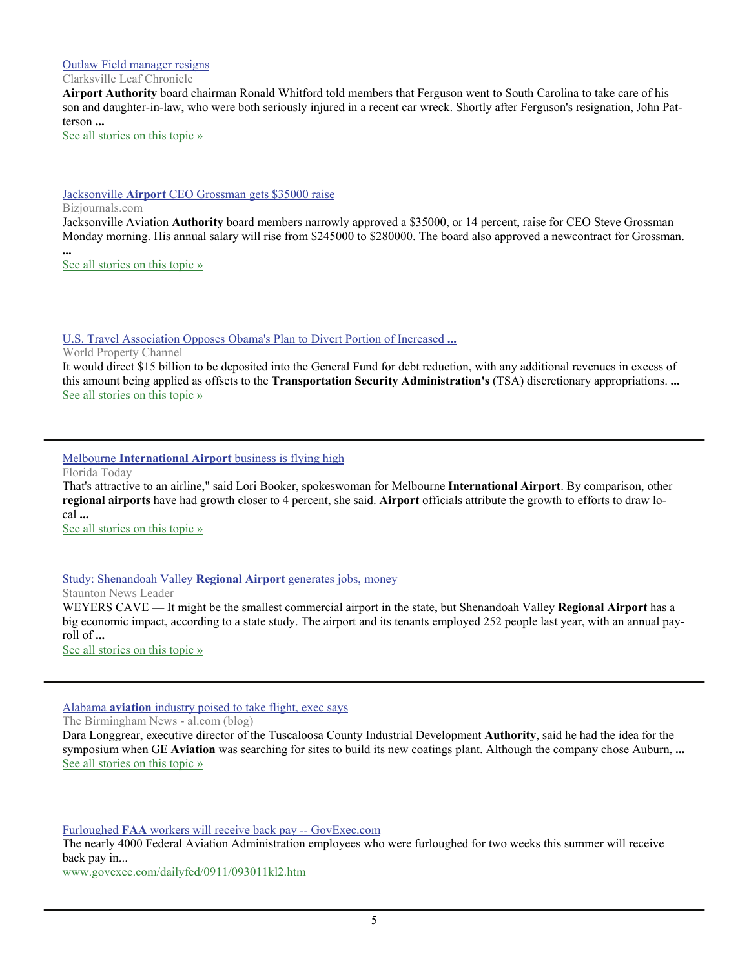#### [Outlaw Field manager resigns](http://www.google.com/url?sa=X&q=http://www.theleafchronicle.com/article/20110922/NEWS01/109220319/Outlaw-Field-manager-resigns%3Fodyssey%3Dtab%257Ctopnews%257Ctext%257CFRONTPAGE&ct=ga&cad=CAEQARgAIAAoATAAOABA8Z_s8wRIAVAAWABiAmVu&cd=hcYvcYfEf-k&usg=AFQjCNH5p8l362PxHg4Mx08wWBnyadjtJQ)

#### Clarksville Leaf Chronicle

**Airport Authority** board chairman Ronald Whitford told members that Ferguson went to South Carolina to take care of his son and daughter-in-law, who were both seriously injured in a recent car wreck. Shortly after Ferguson's resignation, John Patterson **...**

[See all stories on this topic »](http://www.google.com/url?sa=X&q=http://news.google.com/news/story%3Fncl%3Dhttp://www.theleafchronicle.com/article/20110922/NEWS01/109220319/Outlaw-Field-manager-resigns%253Fodyssey%253Dtab%25257Ctopnews%25257Ctext%25257CFRONTPAGE%26hl%3Den%26geo%3Dus&ct=ga&cad=CAEQARgAIAAoBjAAOABA8Z_s8wRIAVAAWABiAmVu&cd=hcYvcYfEf-k&usg=AFQjCNGs-PQ0lv4aKsiIIz2i6R2PupT3HQ)

#### Jacksonville **Airport** [CEO Grossman gets \\$35000 raise](http://www.google.com/url?sa=X&q=http://www.bizjournals.com/jacksonville/news/2011/09/26/jaa-ceo-steve-grossman-gets-35000.html&ct=ga&cad=CAEQARgAIAAoATABOAFA4cSD9ARIAVAAWABiAmVu&cd=-XSwbx1XEsI&usg=AFQjCNGMcZ4PL4IofHaFdxovEFv9m8DQ_g)

#### Bizjournals.com

Jacksonville Aviation **Authority** board members narrowly approved a \$35000, or 14 percent, raise for CEO Steve Grossman Monday morning. His annual salary will rise from \$245000 to \$280000. The board also approved a newcontract for Grossman.

**...** [See all stories on this topic »](http://www.google.com/url?sa=X&q=http://news.google.com/news/story%3Fncl%3Dhttp://www.bizjournals.com/jacksonville/news/2011/09/26/jaa-ceo-steve-grossman-gets-35000.html%26hl%3Den%26geo%3Dus&ct=ga&cad=CAEQARgAIAAoBjABOAFA4cSD9ARIAVAAWABiAmVu&cd=-XSwbx1XEsI&usg=AFQjCNGuKQcUxlWbvi6x003Th0a1pDR1yg)

#### [U.S. Travel Association Opposes Obama's Plan to Divert Portion of Increased](http://www.google.com/url?sa=X&q=http://www.worldpropertychannel.com/us-markets/vacation-leisure-real-estate-1/aviation-passenger-security-fee-us-travel-association-general-fund-transportation-security-administration-tsa-travel-safety-4812.php&ct=ga&cad=CAEQARgAIAAoATAAOABA1ZmD9ARIAVAAWABiAmVu&cd=ed1swcHF4D8&usg=AFQjCNGZmu08lIvBdYi4dxoAUALz3edflg) **...**

World Property Channel

It would direct \$15 billion to be deposited into the General Fund for debt reduction, with any additional revenues in excess of this amount being applied as offsets to the **Transportation Security Administration's** (TSA) discretionary appropriations. **...** [See all stories on this topic »](http://www.google.com/url?sa=X&q=http://news.google.com/news/story%3Fncl%3Dhttp://www.worldpropertychannel.com/us-markets/vacation-leisure-real-estate-1/aviation-passenger-security-fee-us-travel-association-general-fund-transportation-security-administration-tsa-travel-safety-4812.php%26hl%3Den%26geo%3Dus&ct=ga&cad=CAEQARgAIAAoBjAAOABA1ZmD9ARIAVAAWABiAmVu&cd=ed1swcHF4D8&usg=AFQjCNGQlN0qeuYvrf7XAk2JKkq9goXq_g)

#### Melbourne **International Airport** [business is flying high](http://www.google.com/url?sa=X&q=http://www.floridatoday.com/article/20110924/NEWS01/109240302/Melbourne-International-Airport-business-flying-high&ct=ga&cad=CAEQARgAIAAoATAAOABA1OD18wRIAVAAWABiAmVu&cd=iE8500tkAhI&usg=AFQjCNFJLA1F3PTbuPu7YlNwqtanKxFHsQ)

Florida Today

That's attractive to an airline," said Lori Booker, spokeswoman for Melbourne **International Airport**. By comparison, other **regional airports** have had growth closer to 4 percent, she said. **Airport** officials attribute the growth to efforts to draw local **...**

[See all stories on this topic »](http://www.google.com/url?sa=X&q=http://news.google.com/news/story%3Fncl%3Dhttp://www.floridatoday.com/article/20110924/NEWS01/109240302/Melbourne-International-Airport-business-flying-high%26hl%3Den%26geo%3Dus&ct=ga&cad=CAEQARgAIAAoBjAAOABA1OD18wRIAVAAWABiAmVu&cd=iE8500tkAhI&usg=AFQjCNGmtcGA_KFhO7hGkbmEOUg22r4uXA)

#### [Study: Shenandoah Valley](http://www.google.com/url?sa=X&q=http://www.newsleader.com/article/20110924/NEWS01/109240313/Study-Shenandoah-Valley-Regional-Airport-generates-jobs-money&ct=ga&cad=CAEQARgAIAAoATAAOABAkYX28wRIAVAAWABiAmVu&cd=Hv0HZeMQvgM&usg=AFQjCNEBj0Es08lwKUVdHA1uhFmm7e4eKQ) **Regional Airport** generates jobs, money

Staunton News Leader

WEYERS CAVE — It might be the smallest commercial airport in the state, but Shenandoah Valley **Regional Airport** has a big economic impact, according to a state study. The airport and its tenants employed 252 people last year, with an annual payroll of **...**

[See all stories on this topic »](http://www.google.com/url?sa=X&q=http://news.google.com/news/story%3Fncl%3Dhttp://www.newsleader.com/article/20110924/NEWS01/109240313/Study-Shenandoah-Valley-Regional-Airport-generates-jobs-money%26hl%3Den%26geo%3Dus&ct=ga&cad=CAEQARgAIAAoBjAAOABAkYX28wRIAVAAWABiAmVu&cd=Hv0HZeMQvgM&usg=AFQjCNE0pFUXpQ_t3dQoEDSfs022rrBg-A)

#### Alabama **aviation** [industry poised to take flight, exec says](http://www.google.com/url?sa=X&q=http://blog.al.com/businessnews/2011/09/alabama_aviation_industry_pois.html&ct=ga&cad=CAEQAhgAIAAoATAGOAZAvPyb9ARIAVAAWABiAmVu&cd=t8acDrIaxjA&usg=AFQjCNEvmKLbZG1hc07v-kh9miIPZHOR1Q)

The Birmingham News - al.com (blog)

Dara Longgrear, executive director of the Tuscaloosa County Industrial Development **Authority**, said he had the idea for the symposium when GE **Aviation** was searching for sites to build its new coatings plant. Although the company chose Auburn, **...** [See all stories on this topic »](http://www.google.com/url?sa=X&q=http://news.google.com/news/story%3Fncl%3Dhttp://blog.al.com/businessnews/2011/09/alabama_aviation_industry_pois.html%26hl%3Den%26geo%3Dus&ct=ga&cad=CAEQAhgAIAAoBjAGOAZAvPyb9ARIAVAAWABiAmVu&cd=t8acDrIaxjA&usg=AFQjCNEyF7FH9lyowEZdi4swgaeyYL9RnA)

Furloughed **FAA** [workers will receive back pay -- GovExec.com](http://www.google.com/url?sa=X&q=http://www.govexec.com/dailyfed/0911/093011kl2.htm&ct=ga&cad=CAcQARgAIAEoATAAOABAjMGk9ARIAVgAYgVlbi1VUw&cd=ttEMK7vNQl4&usg=AFQjCNFMQMDorTLSDlglQoj_xurLeYAZ4Q)

The nearly 4000 Federal Aviation Administration employees who were furloughed for two weeks this summer will receive back pay in...

[www.govexec.com/dailyfed/0911/093011kl2.htm](http://www.google.com/url?sa=X&q=http://www.govexec.com/dailyfed/0911/093011kl2.htm&ct=ga&cad=CAcQARgAIAEoBDAAOABAjMGk9ARIAVgAYgVlbi1VUw&cd=ttEMK7vNQl4&usg=AFQjCNFMQMDorTLSDlglQoj_xurLeYAZ4Q)